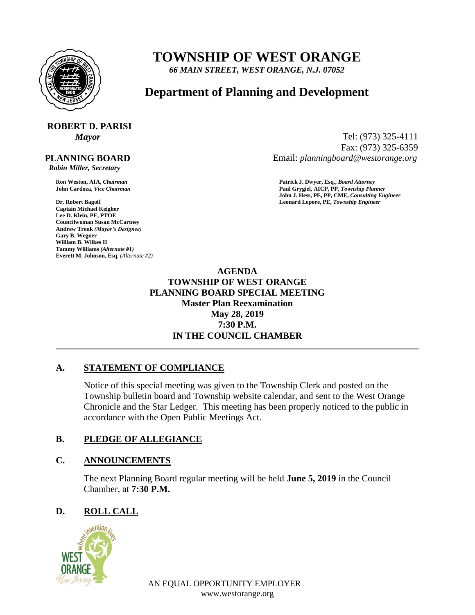

## **TOWNSHIP OF WEST ORANGE**

*66 MAIN STREET, WEST ORANGE, N.J. 07052*

### **Department of Planning and Development**

# **ROBERT D. PARISI**

#### **PLANNING BOARD**

 *Robin Miller, Secretary*

**Captain Michael Keigher Lee D. Klein, PE, PTOE Councilwoman Susan McCartney Andrew Trenk** *(Mayor's Designee)* **Gary B. Wegner William B. Wilkes II Tammy Williams** *(Alternate #1)* **Everett M. Johnson, Esq.** *(Alternate #2)*

*Mayor* Tel: (973) 325-4111 Fax: (973) 325-6359 Email: *planningboard@westorange.org*

**Ron Weston, AIA,** *Chairman* **Patrick J. Dwyer, Esq.,** *Board Attorney* **John Cardoza,** *Vice Chairman* **Paul Grygiel, AICP, PP,** *Township Planner* **John J. Hess, PE, PP, CME,** *Consulting Engineer* **Dr. Robert Bagoff Leonard Lepore, PE,** *Township Engineer*

> **AGENDA TOWNSHIP OF WEST ORANGE PLANNING BOARD SPECIAL MEETING Master Plan Reexamination May 28, 2019 7:30 P.M. IN THE COUNCIL CHAMBER**

#### **A. STATEMENT OF COMPLIANCE**

Notice of this special meeting was given to the Township Clerk and posted on the Township bulletin board and Township website calendar, and sent to the West Orange Chronicle and the Star Ledger. This meeting has been properly noticed to the public in accordance with the Open Public Meetings Act.

#### **B. PLEDGE OF ALLEGIANCE**

#### **C. ANNOUNCEMENTS**

The next Planning Board regular meeting will be held **June 5, 2019** in the Council Chamber, at **7:30 P.M.**

#### **D. ROLL CALL**